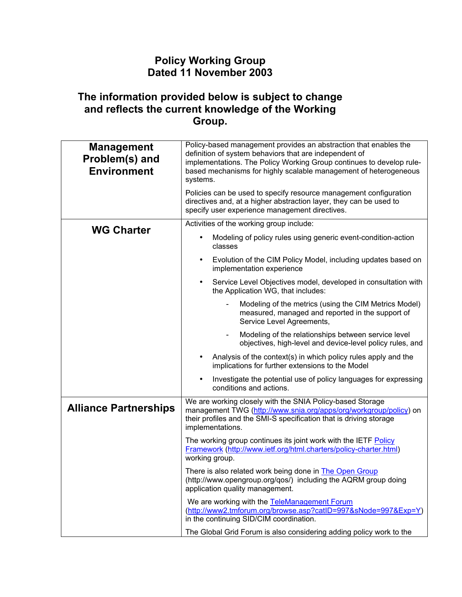## **Policy Working Group Dated 11 November 2003**

## **The information provided below is subject to change and reflects the current knowledge of the Working Group.**

| <b>Management</b><br>Problem(s) and<br><b>Environment</b> | Policy-based management provides an abstraction that enables the<br>definition of system behaviors that are independent of<br>implementations. The Policy Working Group continues to develop rule-<br>based mechanisms for highly scalable management of heterogeneous<br>systems. |
|-----------------------------------------------------------|------------------------------------------------------------------------------------------------------------------------------------------------------------------------------------------------------------------------------------------------------------------------------------|
|                                                           | Policies can be used to specify resource management configuration<br>directives and, at a higher abstraction layer, they can be used to<br>specify user experience management directives.                                                                                          |
| <b>WG Charter</b>                                         | Activities of the working group include:                                                                                                                                                                                                                                           |
|                                                           | Modeling of policy rules using generic event-condition-action<br>classes                                                                                                                                                                                                           |
|                                                           | Evolution of the CIM Policy Model, including updates based on<br>implementation experience                                                                                                                                                                                         |
|                                                           | Service Level Objectives model, developed in consultation with<br>the Application WG, that includes:                                                                                                                                                                               |
|                                                           | Modeling of the metrics (using the CIM Metrics Model)<br>measured, managed and reported in the support of<br>Service Level Agreements,                                                                                                                                             |
|                                                           | Modeling of the relationships between service level<br>objectives, high-level and device-level policy rules, and                                                                                                                                                                   |
|                                                           | Analysis of the context(s) in which policy rules apply and the<br>implications for further extensions to the Model                                                                                                                                                                 |
|                                                           | Investigate the potential use of policy languages for expressing<br>$\bullet$<br>conditions and actions.                                                                                                                                                                           |
| <b>Alliance Partnerships</b>                              | We are working closely with the SNIA Policy-based Storage<br>management TWG (http://www.snia.org/apps/org/workgroup/policy) on<br>their profiles and the SMI-S specification that is driving storage<br>implementations.                                                           |
|                                                           | The working group continues its joint work with the IETF Policy<br>Framework (http://www.ietf.org/html.charters/policy-charter.html)<br>working group.                                                                                                                             |
|                                                           | There is also related work being done in <b>The Open Group</b><br>(http://www.opengroup.org/qos/) including the AQRM group doing<br>application quality management.                                                                                                                |
|                                                           | We are working with the TeleManagement Forum<br>(http://www2.tmforum.org/browse.asp?catID=997&sNode=997&Exp=Y)<br>in the continuing SID/CIM coordination.                                                                                                                          |
|                                                           | The Global Grid Forum is also considering adding policy work to the                                                                                                                                                                                                                |